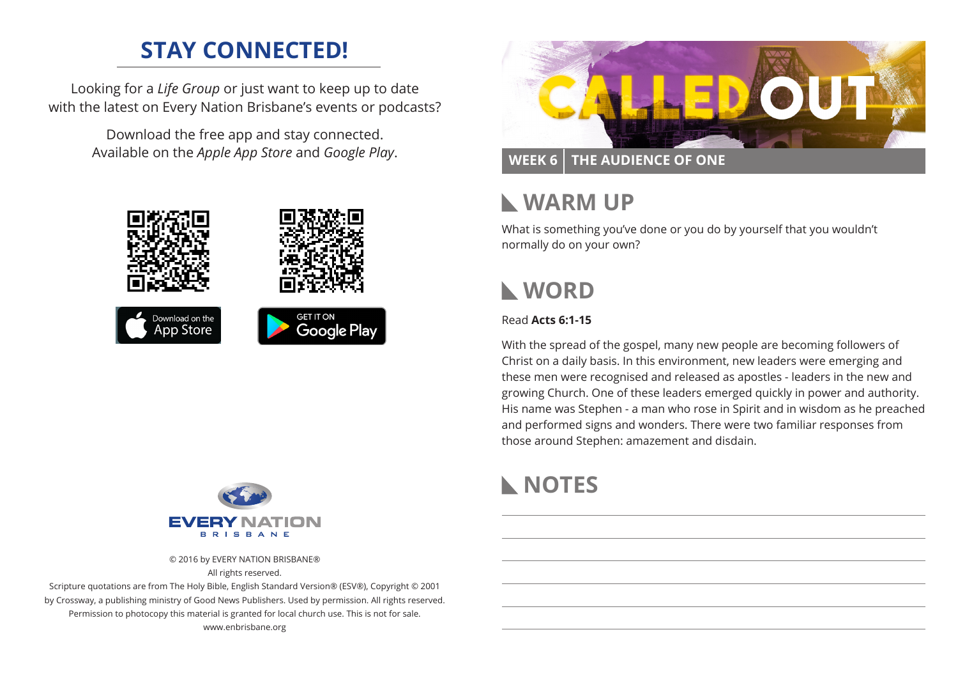# **STAY CONNECTED!**

Looking for a *Life Group* or just want to keep up to date with the latest on Every Nation Brisbane's events or podcasts?

> Download the free app and stay connected. Available on the *Apple App Store* and *Google Play*.





© 2016 by EVERY NATION BRISBANE® All rights reserved.

Scripture quotations are from The Holy Bible, English Standard Version® (ESV®), Copyright © 2001 by Crossway, a publishing ministry of Good News Publishers. Used by permission. All rights reserved. Permission to photocopy this material is granted for local church use. This is not for sale. www.enbrisbane.org



## **WEEK 6 THE AUDIENCE OF ONE**

# **WARM UP**

What is something you've done or you do by yourself that you wouldn't normally do on your own?

# **WORD**

### Read **Acts 6:1-15**

With the spread of the gospel, many new people are becoming followers of Christ on a daily basis. In this environment, new leaders were emerging and these men were recognised and released as apostles - leaders in the new and growing Church. One of these leaders emerged quickly in power and authority. His name was Stephen - a man who rose in Spirit and in wisdom as he preached and performed signs and wonders. There were two familiar responses from those around Stephen: amazement and disdain.